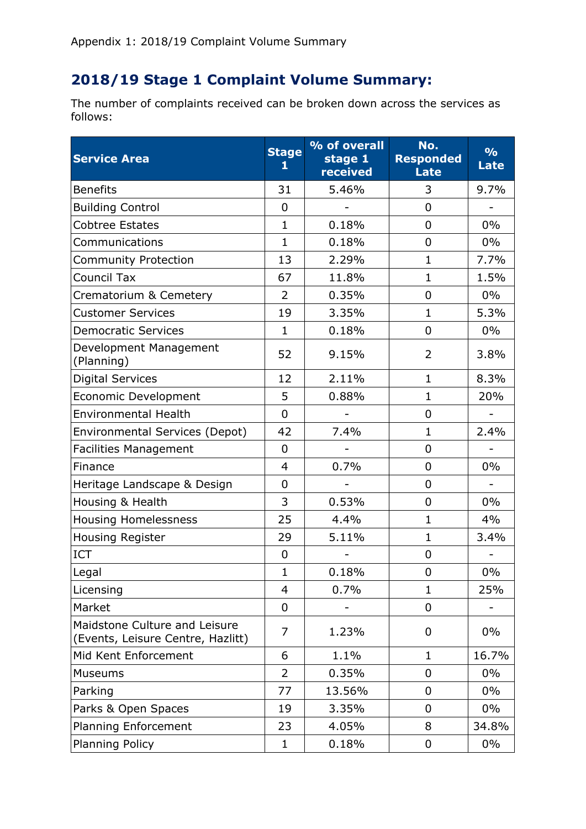## **2018/19 Stage 1 Complaint Volume Summary:**

The number of complaints received can be broken down across the services as follows:

| <b>Service Area</b>                                                | <b>Stage</b><br>1 | % of overall<br>stage 1<br>received | No.<br><b>Responded</b><br>Late | $\frac{9}{6}$<br><b>Late</b> |
|--------------------------------------------------------------------|-------------------|-------------------------------------|---------------------------------|------------------------------|
| <b>Benefits</b>                                                    | 31                | 5.46%                               | 3                               | 9.7%                         |
| <b>Building Control</b>                                            | 0                 |                                     | 0                               |                              |
| <b>Cobtree Estates</b>                                             | $\mathbf{1}$      | 0.18%                               | 0                               | 0%                           |
| Communications                                                     | $\mathbf{1}$      | 0.18%                               | 0                               | $0\%$                        |
| <b>Community Protection</b>                                        | 13                | 2.29%                               | $\mathbf{1}$                    | 7.7%                         |
| <b>Council Tax</b>                                                 | 67                | 11.8%                               | $\mathbf{1}$                    | 1.5%                         |
| Crematorium & Cemetery                                             | 2                 | 0.35%                               | 0                               | $0\%$                        |
| <b>Customer Services</b>                                           | 19                | 3.35%                               | $\mathbf{1}$                    | 5.3%                         |
| <b>Democratic Services</b>                                         | $\mathbf{1}$      | 0.18%                               | 0                               | 0%                           |
| Development Management<br>(Planning)                               | 52                | 9.15%                               | 2                               | 3.8%                         |
| <b>Digital Services</b>                                            | 12                | 2.11%                               | $\mathbf{1}$                    | 8.3%                         |
| Economic Development                                               | 5                 | 0.88%                               | $\mathbf{1}$                    | 20%                          |
| <b>Environmental Health</b>                                        | 0                 |                                     | 0                               |                              |
| <b>Environmental Services (Depot)</b>                              | 42                | 7.4%                                | $\mathbf{1}$                    | 2.4%                         |
| <b>Facilities Management</b>                                       | 0                 |                                     | 0                               |                              |
| Finance                                                            | $\overline{4}$    | 0.7%                                | $\overline{0}$                  | 0%                           |
| Heritage Landscape & Design                                        | 0                 |                                     | 0                               |                              |
| Housing & Health                                                   | 3                 | 0.53%                               | $\mathbf 0$                     | $0\%$                        |
| <b>Housing Homelessness</b>                                        | 25                | 4.4%                                | $\mathbf{1}$                    | 4%                           |
| Housing Register                                                   | 29                | 5.11%                               | $\mathbf{1}$                    | 3.4%                         |
| <b>ICT</b>                                                         | 0                 |                                     | 0                               |                              |
| Legal                                                              | $\mathbf{1}$      | 0.18%                               | $\overline{0}$                  | 0%                           |
| Licensing                                                          | $\overline{4}$    | 0.7%                                | $\mathbf{1}$                    | 25%                          |
| Market                                                             | 0                 |                                     | $\overline{0}$                  |                              |
| Maidstone Culture and Leisure<br>(Events, Leisure Centre, Hazlitt) | $\overline{7}$    | 1.23%                               | 0                               | $0\%$                        |
| Mid Kent Enforcement                                               | 6                 | 1.1%                                | $\mathbf{1}$                    | 16.7%                        |
| <b>Museums</b>                                                     | $\overline{2}$    | 0.35%                               | 0                               | $0\%$                        |
| Parking                                                            | 77                | 13.56%                              | 0                               | $0\%$                        |
| Parks & Open Spaces                                                | 19                | 3.35%                               | 0                               | $0\%$                        |
| Planning Enforcement                                               | 23                | 4.05%                               | 8                               | 34.8%                        |
| Planning Policy                                                    | $\mathbf 1$       | 0.18%                               | 0                               | $0\%$                        |